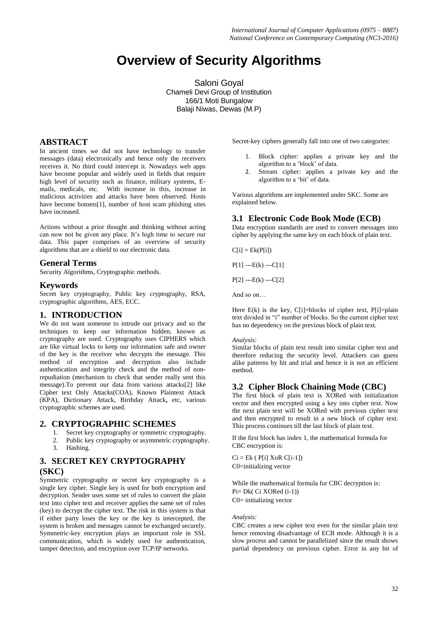# **Overview of Security Algorithms**

Saloni Goyal Chameli Devi Group of Institution 166/1 Moti Bungalow Balaji Niwas, Dewas (M.P)

#### **ABSTRACT**

In ancient times we did not have technology to transfer messages (data) electronically and hence only the receivers receives it. No third could intercept it. Nowadays web apps have become popular and widely used in fields that require high level of security such as finance, military systems, Emails, medicals, etc. With increase in this, increase in malicious activities and attacks have been observed. Hosts have become botnets[1], number of host scam phishing sites have increased.

Actions without a prior thought and thinking without acting can now not be given any place. It's high time to secure our data. This paper comprises of an overview of security algorithms that are a shield to our electronic data.

## **General Terms**

Security Algorithms, Cryptographic methods.

#### **Keywords**

Secret key cryptography, Public key cryptography, RSA, cryptographic algorithms, AES, ECC.

#### **1. INTRODUCTION**

We do not want someone to intrude our privacy and so the techniques to keep our information hidden, known as cryptography are used. Cryptography uses CIPHERS which are like virtual locks to keep our information safe and owner of the key is the receiver who decrypts the message. This method of encryption and decryption also include authentication and integrity check and the method of nonrepudiation (mechanism to check that sender really sent this message).To prevent our data from various attacks[2] like Cipher text Only Attacks(COA), Known Plaintext Attack (KPA), Dictionary Attack, Birthday Attack**,** etc, various cryptographic schemes are used.

#### **2. CRYPTOGRAPHIC SCHEMES**

- 1. Secret key cryptography or symmetric cryptography.
- 2. Public key cryptography or asymmetric cryptography.<br>3. Hashing Hashing.

## **3. SECRET KEY CRYPTOGRAPHY (SKC)**

Symmetric cryptography or secret key cryptography is a single key cipher. Single key is used for both encryption and decryption. Sender uses some set of rules to convert the plain text into cipher text and receiver applies the same set of rules (key) to decrypt the cipher text. The risk in this system is that if either party loses the key or the key is intercepted, the system is broken and messages cannot be exchanged securely. Symmetric-key encryption plays an important role in SSL communication, which is widely used for authentication, tamper detection, and encryption over TCP/IP networks.

Secret-key ciphers generally fall into one of two categories:

- 1. Block cipher: applies a private key and the algorithm to a 'block' of data.
- 2. Stream cipher: applies a private key and the algorithm to a 'bit' of data.

Various algorithms are implemented under SKC. Some are explained below.

#### **3.1 Electronic Code Book Mode (ECB)**

Data encryption standards are used to convert messages into cipher by applying the same key on each block of plain text.

 $C[i] = Ek(P[i])$ 

 $P[1]$  --- $E(k)$  --- $C[1]$ 

 $P[2]$  --- $E(k)$  --- $C[2]$ 

And so on…

Here  $E(k)$  is the key,  $C[i]=block$  of cipher text,  $P[i]=plain$ text divided in "i" number of blocks. So the current cipher text has no dependency on the previous block of plain text.

#### *Analysis:*

Similar blocks of plain text result into similar cipher text and therefore reducing the security level. Attackers can guess alike patterns by hit and trial and hence it is not an efficient method.

# **3.2 Cipher Block Chaining Mode (CBC)**

The first block of plain text is XORed with initialization vector and then encrypted using a key into cipher text. Now the next plain text will be XORed with previous cipher text and then encrypted to result in a new block of cipher text. This process continues till the last block of plain text.

If the first block has index 1, the mathematical formula for CBC encryption is:

 $Ci = Ek$  ( $P[i] XOR C[i-1]$ ) C0=initializing vector

While the mathematical formula for CBC decryption is: Pi= Dk( Ci XORed (i-1)) C0= initializing vector

#### *Analysis:*

CBC creates a new cipher text even for the similar plain text hence removing disadvantage of ECB mode. Although it is a slow process and cannot be parallelized since the result shows partial dependency on previous cipher. Error in any bit of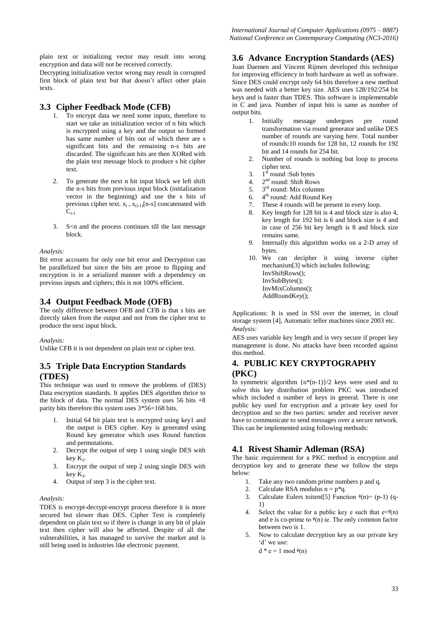plain text or initializing vector may result into wrong encryption and data will not be received correctly.

Decrypting initialization vector wrong may result in corrupted first block of plain text but that doesn't affect other plain texts.

# **3.3 Cipher Feedback Mode (CFB)**

- 1. To encrypt data we need some inputs, therefore to start we take an initialization vector of n bits which is encrypted using a key and the output so formed has same number of bits out of which there are s significant bits and the remaining n-s bits are discarded. The significant bits are then XORed with the plain text message block to produce s bit cipher text.
- 2. To generate the next n bit input block we left shift the n-s bits from previous input block (initialization vector in the beginning) and use the s bits of previous cipher text.  $x_{i} = x_{(i-1)}[n-s]$  concatenated with  $C_{i-1}$
- 3. S<n and the process continues till the last message block.

*Analysis:*

Bit error accounts for only one bit error and Decryption can be parallelized but since the bits are prone to flipping and encryption is in a serialized manner with a dependency on previous inputs and ciphers; this is not 100% efficient.

#### **3.4 Output Feedback Mode (OFB)**

The only difference between OFB and CFB is that s bits are directly taken from the output and not from the cipher text to produce the next input block.

*Analysis:*

Unlike CFB it is not dependent on plain text or cipher text.

# **3.5 Triple Data Encryption Standards (TDES)**

This technique was used to remove the problems of (DES) Data encryption standards. It applies DES algorithm thrice to the block of data. The normal DES system uses 56 bits  $+8$ parity bits therefore this system uses 3\*56=168 bits.

- 1. Initial 64 bit plain text is encrypted using key1 and the output is DES cipher. Key is generated using Round key generator which uses Round function and permutations.
- 2. Decrypt the output of step 1 using single DES with  $key K<sub>2</sub>$ .
- 3. Encrypt the output of step 2 using single DES with  $key K_3$ .
- 4. Output of step 3 is the cipher text.

#### *Analysis:*

TDES is encrypt-decrypt-encrypt process therefore it is more secured but slower than DES. Cipher Text is completely dependent on plain text so if there is change in any bit of plain text then cipher will also be affected. Despite of all the vulnerabilities, it has managed to survive the market and is still being used in industries like electronic payment.

## **3.6 Advance Encryption Standards (AES)**

Joan Daemen and Vincent Rijmen developed this technique for improving efficiency in both hardware as well as software. Since DES could encrypt only 64 bits therefore a new method was needed with a better key size. AES uses 128/192/254 bit keys and is faster than TDES. This software is implementable in C and java. Number of input bits is same as number of output bits.

- 1. Initially message undergoes pre round transformation via round generator and unlike DES number of rounds are varying here. Total number of rounds:10 rounds for 128 bit, 12 rounds for 192 bit and 14 rounds for 254 bit.
- 2. Number of rounds is nothing but loop to process cipher text.
- 3.  $1<sup>st</sup>$  round :Sub bytes
- 4. 2<sup>nd</sup> round: Shift Rows
- 5.  $3<sup>rd</sup>$  round: Mix columns
- $rac{6}{7}$ 4<sup>th</sup> round: Add Round Key
- These 4 rounds will be present in every loop.
- 8. Key length for 128 bit is 4 and block size is also 4, key length for 192 bit is 6 and block size is 4 and in case of 256 bit key length is 8 and block size remains same.
- 9. Internally this algorithm works on a 2-D array of bytes.
- 10. We can decipher it using inverse cipher mechanism[3] which includes following: InvShiftRows(); InvSubBytes(); InvMixColumns(); AddRoundKey();

Applications: It is used in SSl over the internet, in cloud storage system [4], Automatic teller machines since 2003 etc. *Analysis:*

AES uses variable key length and is very secure if proper key management is done. No attacks have been recorded against this method.

# **4. PUBLIC KEY CRYPTOGRAPHY (PKC)**

In symmetric algorithm  $\{n^*(n-1)\}/2$  keys were used and to solve this key distribution problem PKC was introduced which included n number of keys in general. There is one public key used for encryption and a private key used for decryption and so the two parties: sender and receiver never have to communicate to send messages over a secure network. This can be implemented using following methods:

# **4.1 Rivest Shamir Adleman (RSA)**

The basic requirement for a PKC method is encryption and decryption key and to generate these we follow the steps below:

- 1. Take any two random prime numbers p and q.
- 2. Calculate RSA modulus  $n = p^*q$ .
- 3. Calculate Eulers toitent [5] Function  $\phi(n) = (p-1)$  (q-1)
- 4. Select the value for a public key e such that  $e \leq \phi(n)$ and e is co-prime to  $\sqrt[6]{n}$  ie. The only common factor between two is 1.
- 5. Now to calculate decryption key as our private key 'd' we use:
	- $d * e = 1 \mod (n)$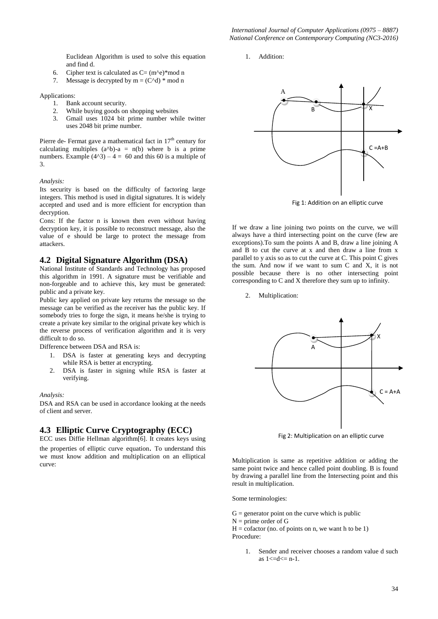Euclidean Algorithm is used to solve this equation and find d.

- 6. Cipher text is calculated as  $C = (m<sup>2</sup>e)*mod n$
- 7. Message is decrypted by  $m = (C^{\wedge}d) * \text{mod } n$

Applications:

- 1. Bank account security.
- 2. While buying goods on shopping websites
- 3. Gmail uses 1024 bit prime number while twitter uses 2048 bit prime number.

Pierre de- Fermat gave a mathematical fact in  $17<sup>th</sup>$  century for calculating multiples  $(a^b-a)$ -a = n(b) where b is a prime numbers. Example  $(4^2) - 4 = 60$  and this 60 is a multiple of 3.

*Analysis:*

Its security is based on the difficulty of factoring large integers. This method is used in digital signatures. It is widely accepted and used and is more efficient for encryption than decryption.

Cons: If the factor n is known then even without having decryption key, it is possible to reconstruct message, also the value of e should be large to protect the message from attackers.

#### **4.2 Digital Signature Algorithm (DSA)**

National Institute of Standards and Technology has proposed this algorithm in 1991. A signature must be verifiable and non-forgeable and to achieve this, key must be generated: public and a private key.

Public key applied on private key returns the message so the message can be verified as the receiver has the public key. If somebody tries to forge the sign, it means he/she is trying to create a private key similar to the original private key which is the reverse process of verification algorithm and it is very difficult to do so.

Difference between DSA and RSA is:

- 1. DSA is faster at generating keys and decrypting while RSA is better at encrypting.
- 2. DSA is faster in signing while RSA is faster at verifying.

#### *Analysis:*

DSA and RSA can be used in accordance looking at the needs of client and server.

# **4.3 Elliptic Curve Cryptography (ECC)**

ECC uses Diffie Hellman algorithm[6]. It creates keys using the properties of elliptic curve equation. To understand this we must know addition and multiplication on an elliptical curve:

1. Addition:



Fig 1: Addition on an elliptic curve

If we draw a line joining two points on the curve, we will always have a third intersecting point on the curve (few are exceptions).To sum the points A and B, draw a line joining A and B to cut the curve at x and then draw a line from x parallel to y axis so as to cut the curve at C. This point C gives the sum. And now if we want to sum C and X, it is not possible because there is no other intersecting point corresponding to C and X therefore they sum up to infinity.

2. Multiplication:



Fig 2: Multiplication on an elliptic curve

Multiplication is same as repetitive addition or adding the same point twice and hence called point doubling. B is found by drawing a parallel line from the Intersecting point and this result in multiplication.

Some terminologies:

- $G =$  generator point on the curve which is public
- $N =$  prime order of G

 $H = \text{cofactor}$  (no. of points on n, we want h to be 1) Procedure:

> Sender and receiver chooses a random value d such as  $1 < = d < n-1$ .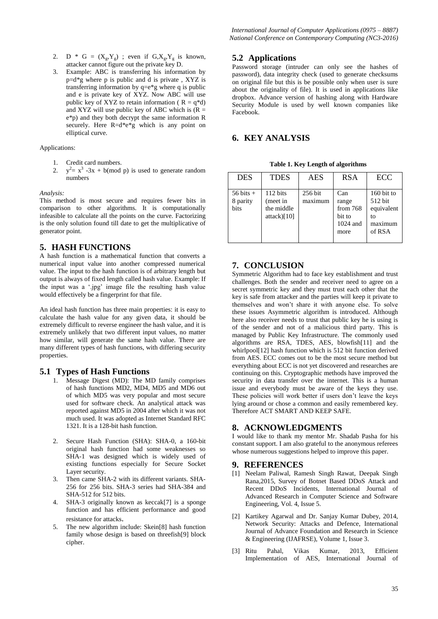- 2. D \* G =  $(X_g, Y_g)$ ; even if  $G, X_g, Y_g$  is known, attacker cannot figure out the private key D.
- 3. Example: ABC is transferring his information by p=d\*g where p is public and d is private , XYZ is transferring information by q=e\*g where q is public and e is private key of XYZ. Now ABC will use public key of XYZ to retain information ( $R = q^*d$ ) and XYZ will use public key of ABC which is  $(R =$ e\*p) and they both decrypt the same information R securely. Here R=d\*e\*g which is any point on elliptical curve.

Applications:

- 1. Credit card numbers.
- $2.$  $x^2 = x^3 - 3x + b \pmod{p}$  is used to generate random numbers

#### *Analysis:*

This method is most secure and requires fewer bits in comparison to other algorithms. It is computationally infeasible to calculate all the points on the curve. Factorizing is the only solution found till date to get the multiplicative of generator point.

#### **5. HASH FUNCTIONS**

A hash function is a mathematical function that converts a numerical input value into another compressed numerical value. The input to the hash function is of arbitrary length but output is always of fixed length called hash value. Example: If the input was a '.jpg' image file the resulting hash value would effectively be a fingerprint for that file.

An ideal hash function has three main properties: it is easy to calculate the hash value for any given data, it should be extremely difficult to reverse engineer the hash value, and it is extremely unlikely that two different input values, no matter how similar, will generate the same hash value. There are many different types of hash functions, with differing security properties.

#### **5.1 Types of Hash Functions**

- 1. Message Digest (MD): The MD family comprises of hash functions MD2, MD4, MD5 and MD6 out of which MD5 was very popular and most secure used for software check. An analytical attack was reported against MD5 in 2004 after which it was not much used. It was adopted as Internet Standard RFC 1321. It is a 128-bit hash function.
- 2. Secure Hash Function (SHA): SHA-0, a 160-bit original hash function had some weaknesses so SHA-1 was designed which is widely used of existing functions especially for Secure Socket Layer security.
- 3. Then came SHA-2 with its different variants. SHA-256 for 256 bits. SHA-3 series had SHA-384 and SHA-512 for 512 bits.
- 4. SHA-3 originally known as keccak[7] is a sponge function and has efficient performance and good resistance for attacks.
- 5. The new algorithm include: Skein[8] hash function family whose design is based on threefish[9] block cipher.

## **5.2 Applications**

Password storage (intruder can only see the hashes of password), data integrity check (used to generate checksums on original file but this is be possible only when user is sure about the originality of file). It is used in applications like dropbox. Advance version of hashing along with Hardware Security Module is used by well known companies like Facebook.

## **6. KEY ANALYSIS**

 **Table 1. Key Length of algorithms**

| <b>DES</b>                               | <b>TDES</b>                                       | AES                | <b>RSA</b>                                                 | ECC                                                              |
|------------------------------------------|---------------------------------------------------|--------------------|------------------------------------------------------------|------------------------------------------------------------------|
| $56 \text{ bits } +$<br>8 parity<br>bits | 112 bits<br>(meet in<br>the middle<br>attack)[10] | 256 bit<br>maximum | Can<br>range<br>from $768$<br>bit to<br>$1024$ and<br>more | $160$ bit to<br>512 bit<br>equivalent<br>to<br>maximum<br>of RSA |

# **7. CONCLUSION**

Symmetric Algorithm had to face key establishment and trust challenges. Both the sender and receiver need to agree on a secret symmetric key and they must trust each other that the key is safe from attacker and the parties will keep it private to themselves and won't share it with anyone else. To solve these issues Asymmetric algorithm is introduced. Although here also receiver needs to trust that public key he is using is of the sender and not of a malicious third party. This is managed by Public Key Infrastructure. The commonly used algorithms are RSA, TDES, AES, blowfish[11] and the whirlpool[12] hash function which is 512 bit function derived from AES. ECC comes out to be the most secure method but everything about ECC is not yet discovered and researches are continuing on this. Cryptographic methods have improved the security in data transfer over the internet. This is a human issue and everybody must be aware of the keys they use. These policies will work better if users don't leave the keys lying around or chose a common and easily remembered key. Therefore ACT SMART AND KEEP SAFE.

#### **8. ACKNOWLEDGMENTS**

I would like to thank my mentor Mr. Shadab Pasha for his constant support. I am also grateful to the anonymous referees whose numerous suggestions helped to improve this paper.

#### **9. REFERENCES**

- [1] Neelam Paliwal, Ramesh Singh Rawat, Deepak Singh Rana,2015, Survey of Botnet Based DDoS Attack and Recent DDoS Incidents, International Journal of Advanced Research in Computer Science and Software Engineering, Vol. 4, Issue 5.
- [2] Kartikey Agarwal and Dr. Sanjay Kumar Dubey, 2014, Network Security: Attacks and Defence, International Journal of Advance Foundation and Research in Science & Engineering (IJAFRSE), Volume 1, Issue 3.
- [3] Ritu Pahal, Vikas Kumar, 2013, Efficient Implementation of AES, International Journal of